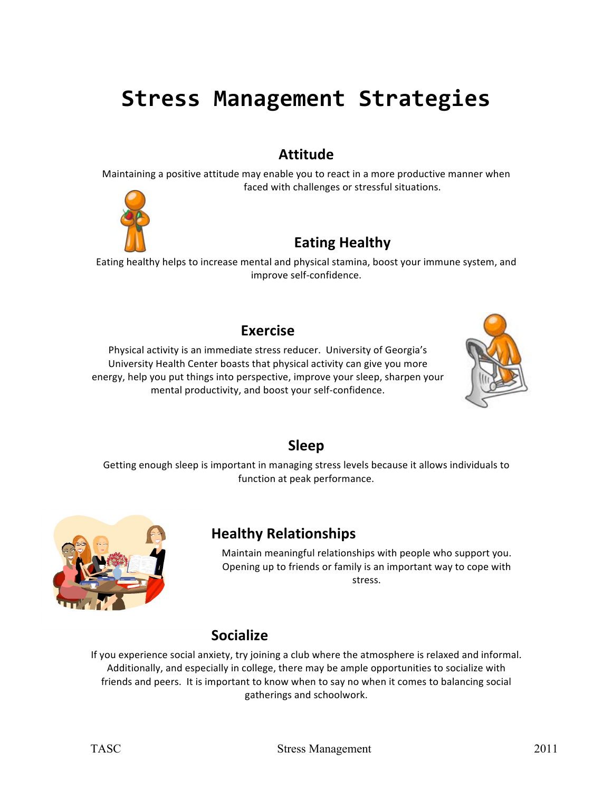# **Stress Management Strategies**

#### **Attitude**

Maintaining a positive attitude may enable you to react in a more productive manner when faced with challenges or stressful situations.



# **Eating Healthy**

Eating healthy helps to increase mental and physical stamina, boost your immune system, and improve self-confidence.

#### **Exercise**

Physical activity is an immediate stress reducer. University of Georgia's University Health Center boasts that physical activity can give you more energy, help you put things into perspective, improve your sleep, sharpen your mental productivity, and boost your self-confidence.



#### **Sleep**

Getting enough sleep is important in managing stress levels because it allows individuals to function at peak performance.



## **Healthy Relationships**

Maintain meaningful relationships with people who support you. Opening up to friends or family is an important way to cope with stress.

#### **Socialize**

If you experience social anxiety, try joining a club where the atmosphere is relaxed and informal. Additionally, and especially in college, there may be ample opportunities to socialize with friends and peers. It is important to know when to say no when it comes to balancing social gatherings and schoolwork.